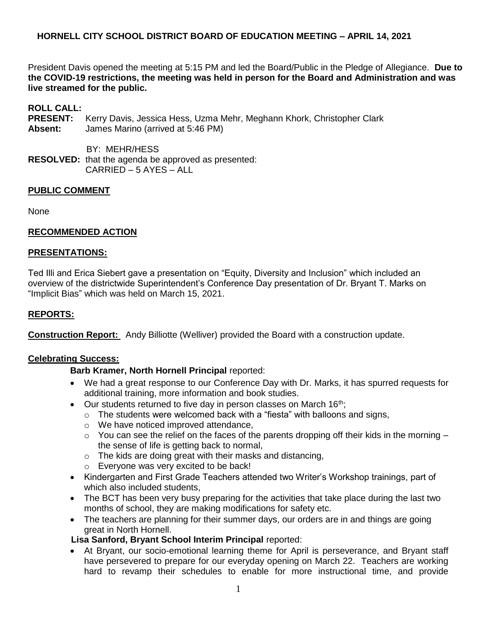President Davis opened the meeting at 5:15 PM and led the Board/Public in the Pledge of Allegiance. **Due to the COVID-19 restrictions, the meeting was held in person for the Board and Administration and was live streamed for the public.**

## **ROLL CALL:**

- **PRESENT:** Kerry Davis, Jessica Hess, Uzma Mehr, Meghann Khork, Christopher Clark **Absent:** James Marino (arrived at 5:46 PM)
	- BY: MEHR/HESS
- **RESOLVED:** that the agenda be approved as presented: CARRIED – 5 AYES – ALL

## **PUBLIC COMMENT**

None

## **RECOMMENDED ACTION**

### **PRESENTATIONS:**

Ted Illi and Erica Siebert gave a presentation on "Equity, Diversity and Inclusion" which included an overview of the districtwide Superintendent's Conference Day presentation of Dr. Bryant T. Marks on "Implicit Bias" which was held on March 15, 2021.

### **REPORTS:**

**Construction Report:** Andy Billiotte (Welliver) provided the Board with a construction update.

### **Celebrating Success:**

### **Barb Kramer, North Hornell Principal** reported:

- We had a great response to our Conference Day with Dr. Marks, it has spurred requests for additional training, more information and book studies.
- Our students returned to five day in person classes on March 16<sup>th</sup>;
	- $\circ$  The students were welcomed back with a "fiesta" with balloons and signs,
	- o We have noticed improved attendance,
	- $\circ$  You can see the relief on the faces of the parents dropping off their kids in the morning the sense of life is getting back to normal,
	- $\circ$  The kids are doing great with their masks and distancing,
	- o Everyone was very excited to be back!
- Kindergarten and First Grade Teachers attended two Writer's Workshop trainings, part of which also included students.
- The BCT has been very busy preparing for the activities that take place during the last two months of school, they are making modifications for safety etc.
- The teachers are planning for their summer days, our orders are in and things are going great in North Hornell.

### **Lisa Sanford, Bryant School Interim Principal** reported:

 At Bryant, our socio-emotional learning theme for April is perseverance, and Bryant staff have persevered to prepare for our everyday opening on March 22. Teachers are working hard to revamp their schedules to enable for more instructional time, and provide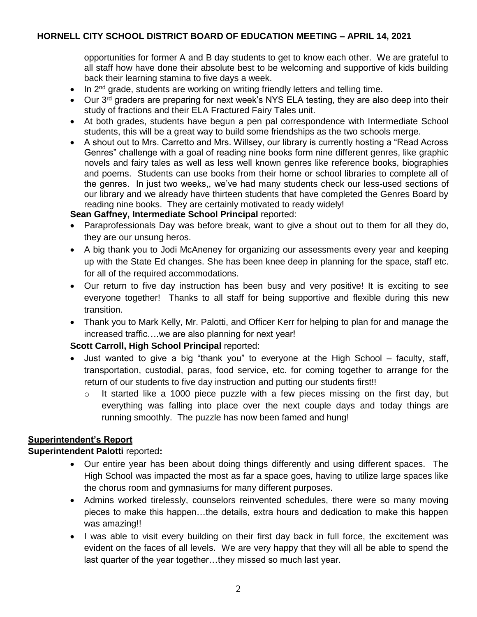opportunities for former A and B day students to get to know each other. We are grateful to all staff how have done their absolute best to be welcoming and supportive of kids building back their learning stamina to five days a week.

- $\bullet$  In 2<sup>nd</sup> grade, students are working on writing friendly letters and telling time.
- $\bullet$  Our 3<sup>rd</sup> graders are preparing for next week's NYS ELA testing, they are also deep into their study of fractions and their ELA Fractured Fairy Tales unit.
- At both grades, students have begun a pen pal correspondence with Intermediate School students, this will be a great way to build some friendships as the two schools merge.
- A shout out to Mrs. Carretto and Mrs. Willsey, our library is currently hosting a "Read Across Genres" challenge with a goal of reading nine books form nine different genres, like graphic novels and fairy tales as well as less well known genres like reference books, biographies and poems. Students can use books from their home or school libraries to complete all of the genres. In just two weeks,, we've had many students check our less-used sections of our library and we already have thirteen students that have completed the Genres Board by reading nine books. They are certainly motivated to ready widely!

## **Sean Gaffney, Intermediate School Principal** reported:

- Paraprofessionals Day was before break, want to give a shout out to them for all they do, they are our unsung heros.
- A big thank you to Jodi McAneney for organizing our assessments every year and keeping up with the State Ed changes. She has been knee deep in planning for the space, staff etc. for all of the required accommodations.
- Our return to five day instruction has been busy and very positive! It is exciting to see everyone together! Thanks to all staff for being supportive and flexible during this new transition.
- Thank you to Mark Kelly, Mr. Palotti, and Officer Kerr for helping to plan for and manage the increased traffic….we are also planning for next year!

## **Scott Carroll, High School Principal** reported:

- Just wanted to give a big "thank you" to everyone at the High School faculty, staff, transportation, custodial, paras, food service, etc. for coming together to arrange for the return of our students to five day instruction and putting our students first!!
	- o It started like a 1000 piece puzzle with a few pieces missing on the first day, but everything was falling into place over the next couple days and today things are running smoothly. The puzzle has now been famed and hung!

## **Superintendent's Report**

### **Superintendent Palotti** reported**:**

- Our entire year has been about doing things differently and using different spaces. The High School was impacted the most as far a space goes, having to utilize large spaces like the chorus room and gymnasiums for many different purposes.
- Admins worked tirelessly, counselors reinvented schedules, there were so many moving pieces to make this happen…the details, extra hours and dedication to make this happen was amazing!!
- I was able to visit every building on their first day back in full force, the excitement was evident on the faces of all levels. We are very happy that they will all be able to spend the last quarter of the year together…they missed so much last year.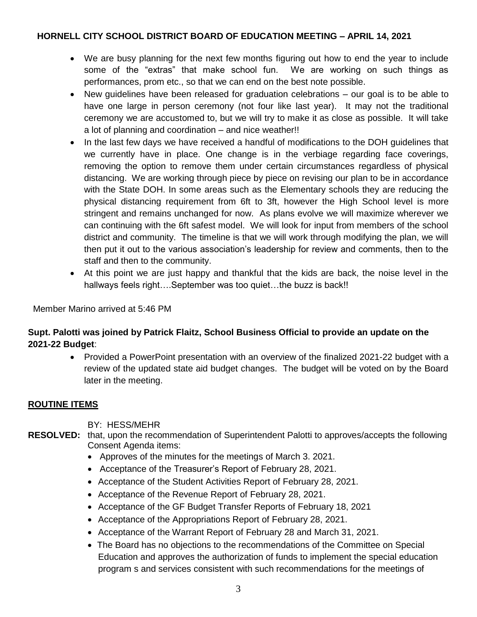- We are busy planning for the next few months figuring out how to end the year to include some of the "extras" that make school fun. We are working on such things as performances, prom etc., so that we can end on the best note possible.
- New guidelines have been released for graduation celebrations our goal is to be able to have one large in person ceremony (not four like last year). It may not the traditional ceremony we are accustomed to, but we will try to make it as close as possible. It will take a lot of planning and coordination – and nice weather!!
- In the last few days we have received a handful of modifications to the DOH guidelines that we currently have in place. One change is in the verbiage regarding face coverings, removing the option to remove them under certain circumstances regardless of physical distancing. We are working through piece by piece on revising our plan to be in accordance with the State DOH. In some areas such as the Elementary schools they are reducing the physical distancing requirement from 6ft to 3ft, however the High School level is more stringent and remains unchanged for now. As plans evolve we will maximize wherever we can continuing with the 6ft safest model. We will look for input from members of the school district and community. The timeline is that we will work through modifying the plan, we will then put it out to the various association's leadership for review and comments, then to the staff and then to the community.
- At this point we are just happy and thankful that the kids are back, the noise level in the hallways feels right....September was too quiet...the buzz is back!!

Member Marino arrived at 5:46 PM

# **Supt. Palotti was joined by Patrick Flaitz, School Business Official to provide an update on the 2021-22 Budget**:

• Provided a PowerPoint presentation with an overview of the finalized 2021-22 budget with a review of the updated state aid budget changes. The budget will be voted on by the Board later in the meeting.

## **ROUTINE ITEMS**

BY: HESS/MEHR

- **RESOLVED:** that, upon the recommendation of Superintendent Palotti to approves/accepts the following Consent Agenda items:
	- Approves of the minutes for the meetings of March 3. 2021.
	- Acceptance of the Treasurer's Report of February 28, 2021.
	- Acceptance of the Student Activities Report of February 28, 2021.
	- Acceptance of the Revenue Report of February 28, 2021.
	- Acceptance of the GF Budget Transfer Reports of February 18, 2021
	- Acceptance of the Appropriations Report of February 28, 2021.
	- Acceptance of the Warrant Report of February 28 and March 31, 2021.
	- The Board has no objections to the recommendations of the Committee on Special Education and approves the authorization of funds to implement the special education program s and services consistent with such recommendations for the meetings of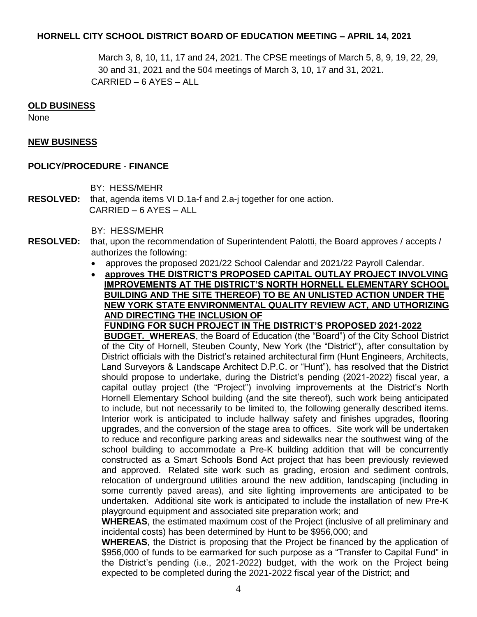March 3, 8, 10, 11, 17 and 24, 2021. The CPSE meetings of March 5, 8, 9, 19, 22, 29, 30 and 31, 2021 and the 504 meetings of March 3, 10, 17 and 31, 2021. CARRIED – 6 AYES – ALL

#### **OLD BUSINESS**

None

#### **NEW BUSINESS**

#### **POLICY/PROCEDURE** - **FINANCE**

BY: HESS/MEHR

**RESOLVED:** that, agenda items VI D.1a-f and 2.a-j together for one action. CARRIED – 6 AYES – ALL

BY: HESS/MEHR

- **RESOLVED:** that, upon the recommendation of Superintendent Palotti, the Board approves / accepts / authorizes the following:
	- approves the proposed 2021/22 School Calendar and 2021/22 Payroll Calendar.
	- **approves THE DISTRICT'S PROPOSED CAPITAL OUTLAY PROJECT INVOLVING IMPROVEMENTS AT THE DISTRICT'S NORTH HORNELL ELEMENTARY SCHOOL BUILDING AND THE SITE THEREOF) TO BE AN UNLISTED ACTION UNDER THE NEW YORK STATE ENVIRONMENTAL QUALITY REVIEW ACT, AND UTHORIZING AND DIRECTING THE INCLUSION OF**

**FUNDING FOR SUCH PROJECT IN THE DISTRICT'S PROPOSED 2021-2022**

**BUDGET. WHEREAS**, the Board of Education (the "Board") of the City School District of the City of Hornell, Steuben County, New York (the "District"), after consultation by District officials with the District's retained architectural firm (Hunt Engineers, Architects, Land Surveyors & Landscape Architect D.P.C. or "Hunt"), has resolved that the District should propose to undertake, during the District's pending (2021-2022) fiscal year, a capital outlay project (the "Project") involving improvements at the District's North Hornell Elementary School building (and the site thereof), such work being anticipated to include, but not necessarily to be limited to, the following generally described items. Interior work is anticipated to include hallway safety and finishes upgrades, flooring upgrades, and the conversion of the stage area to offices. Site work will be undertaken to reduce and reconfigure parking areas and sidewalks near the southwest wing of the school building to accommodate a Pre-K building addition that will be concurrently constructed as a Smart Schools Bond Act project that has been previously reviewed and approved. Related site work such as grading, erosion and sediment controls, relocation of underground utilities around the new addition, landscaping (including in some currently paved areas), and site lighting improvements are anticipated to be undertaken. Additional site work is anticipated to include the installation of new Pre-K playground equipment and associated site preparation work; and

**WHEREAS**, the estimated maximum cost of the Project (inclusive of all preliminary and incidental costs) has been determined by Hunt to be \$956,000; and

**WHEREAS**, the District is proposing that the Project be financed by the application of \$956,000 of funds to be earmarked for such purpose as a "Transfer to Capital Fund" in the District's pending (i.e., 2021-2022) budget, with the work on the Project being expected to be completed during the 2021-2022 fiscal year of the District; and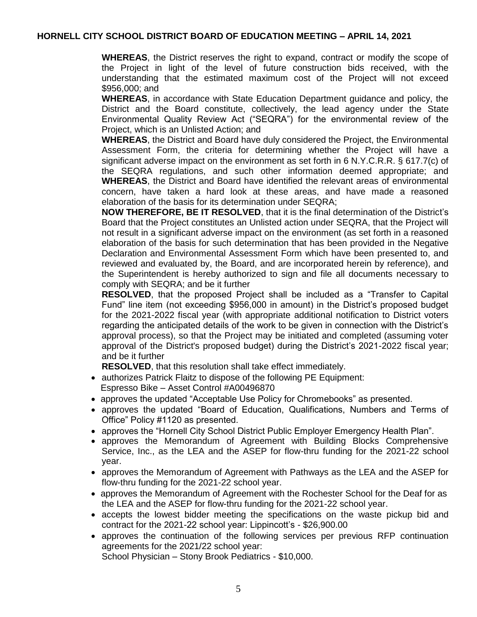**WHEREAS**, the District reserves the right to expand, contract or modify the scope of the Project in light of the level of future construction bids received, with the understanding that the estimated maximum cost of the Project will not exceed \$956,000; and

**WHEREAS**, in accordance with State Education Department guidance and policy, the District and the Board constitute, collectively, the lead agency under the State Environmental Quality Review Act ("SEQRA") for the environmental review of the Project, which is an Unlisted Action; and

**WHEREAS**, the District and Board have duly considered the Project, the Environmental Assessment Form, the criteria for determining whether the Project will have a significant adverse impact on the environment as set forth in 6 N.Y.C.R.R. § 617.7(c) of the SEQRA regulations, and such other information deemed appropriate; and **WHEREAS**, the District and Board have identified the relevant areas of environmental concern, have taken a hard look at these areas, and have made a reasoned elaboration of the basis for its determination under SEQRA;

**NOW THEREFORE, BE IT RESOLVED**, that it is the final determination of the District's Board that the Project constitutes an Unlisted action under SEQRA, that the Project will not result in a significant adverse impact on the environment (as set forth in a reasoned elaboration of the basis for such determination that has been provided in the Negative Declaration and Environmental Assessment Form which have been presented to, and reviewed and evaluated by, the Board, and are incorporated herein by reference), and the Superintendent is hereby authorized to sign and file all documents necessary to comply with SEQRA; and be it further

**RESOLVED**, that the proposed Project shall be included as a "Transfer to Capital Fund" line item (not exceeding \$956,000 in amount) in the District's proposed budget for the 2021-2022 fiscal year (with appropriate additional notification to District voters regarding the anticipated details of the work to be given in connection with the District's approval process), so that the Project may be initiated and completed (assuming voter approval of the District's proposed budget) during the District's 2021-2022 fiscal year; and be it further

**RESOLVED**, that this resolution shall take effect immediately.

- authorizes Patrick Flaitz to dispose of the following PE Equipment: Espresso Bike – Asset Control #A00496870
- approves the updated "Acceptable Use Policy for Chromebooks" as presented.
- approves the updated "Board of Education, Qualifications, Numbers and Terms of Office" Policy #1120 as presented.
- approves the "Hornell City School District Public Employer Emergency Health Plan".
- approves the Memorandum of Agreement with Building Blocks Comprehensive Service, Inc., as the LEA and the ASEP for flow-thru funding for the 2021-22 school year.
- approves the Memorandum of Agreement with Pathways as the LEA and the ASEP for flow-thru funding for the 2021-22 school year.
- approves the Memorandum of Agreement with the Rochester School for the Deaf for as the LEA and the ASEP for flow-thru funding for the 2021-22 school year.
- accepts the lowest bidder meeting the specifications on the waste pickup bid and contract for the 2021-22 school year: Lippincott's - \$26,900.00
- approves the continuation of the following services per previous RFP continuation agreements for the 2021/22 school year:

School Physician – Stony Brook Pediatrics - \$10,000.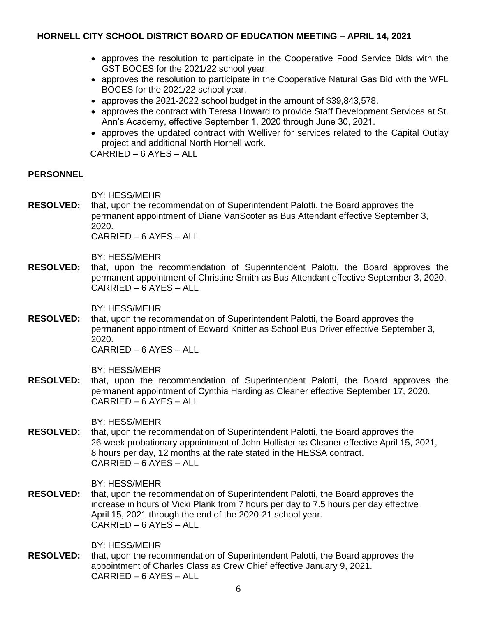- approves the resolution to participate in the Cooperative Food Service Bids with the GST BOCES for the 2021/22 school year.
- approves the resolution to participate in the Cooperative Natural Gas Bid with the WFL BOCES for the 2021/22 school year.
- approves the 2021-2022 school budget in the amount of \$39,843,578.
- approves the contract with Teresa Howard to provide Staff Development Services at St. Ann's Academy, effective September 1, 2020 through June 30, 2021.
- approves the updated contract with Welliver for services related to the Capital Outlay project and additional North Hornell work.

CARRIED – 6 AYES – ALL

## **PERSONNEL**

BY: HESS/MEHR

**RESOLVED:** that, upon the recommendation of Superintendent Palotti, the Board approves the permanent appointment of Diane VanScoter as Bus Attendant effective September 3, 2020.

CARRIED – 6 AYES – ALL

BY: HESS/MEHR

**RESOLVED:** that, upon the recommendation of Superintendent Palotti, the Board approves the permanent appointment of Christine Smith as Bus Attendant effective September 3, 2020. CARRIED – 6 AYES – ALL

BY: HESS/MEHR

**RESOLVED:** that, upon the recommendation of Superintendent Palotti, the Board approves the permanent appointment of Edward Knitter as School Bus Driver effective September 3, 2020.

CARRIED – 6 AYES – ALL

BY: HESS/MEHR

**RESOLVED:** that, upon the recommendation of Superintendent Palotti, the Board approves the permanent appointment of Cynthia Harding as Cleaner effective September 17, 2020. CARRIED – 6 AYES – ALL

BY: HESS/MEHR

**RESOLVED:** that, upon the recommendation of Superintendent Palotti, the Board approves the 26-week probationary appointment of John Hollister as Cleaner effective April 15, 2021, 8 hours per day, 12 months at the rate stated in the HESSA contract. CARRIED – 6 AYES – ALL

BY: HESS/MEHR

**RESOLVED:** that, upon the recommendation of Superintendent Palotti, the Board approves the increase in hours of Vicki Plank from 7 hours per day to 7.5 hours per day effective April 15, 2021 through the end of the 2020-21 school year. CARRIED – 6 AYES – ALL

BY: HESS/MEHR

**RESOLVED:** that, upon the recommendation of Superintendent Palotti, the Board approves the appointment of Charles Class as Crew Chief effective January 9, 2021. CARRIED – 6 AYES – ALL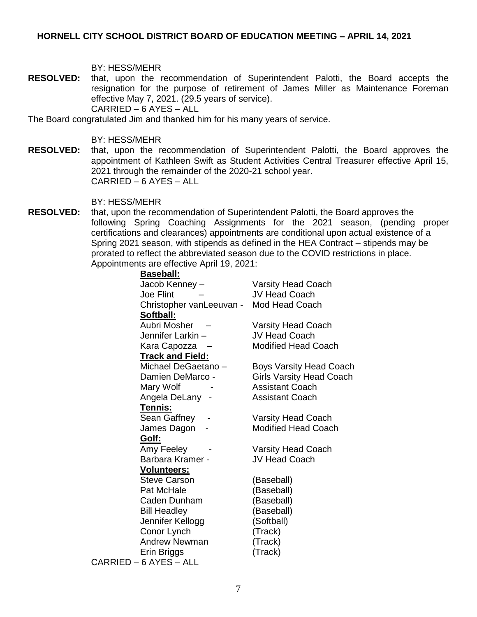#### BY: HESS/MEHR

**RESOLVED:** that, upon the recommendation of Superintendent Palotti, the Board accepts the resignation for the purpose of retirement of James Miller as Maintenance Foreman effective May 7, 2021. (29.5 years of service). CARRIED – 6 AYES – ALL

The Board congratulated Jim and thanked him for his many years of service.

#### BY: HESS/MEHR

**RESOLVED:** that, upon the recommendation of Superintendent Palotti, the Board approves the appointment of Kathleen Swift as Student Activities Central Treasurer effective April 15, 2021 through the remainder of the 2020-21 school year. CARRIED – 6 AYES – ALL

#### BY: HESS/MEHR

**RESOLVED:** that, upon the recommendation of Superintendent Palotti, the Board approves the following Spring Coaching Assignments for the 2021 season, (pending proper certifications and clearances) appointments are conditional upon actual existence of a Spring 2021 season, with stipends as defined in the HEA Contract – stipends may be prorated to reflect the abbreviated season due to the COVID restrictions in place. Appointments are effective April 19, 2021:

| <b>Baseball:</b>         |                                 |
|--------------------------|---------------------------------|
| Jacob Kenney -           | <b>Varsity Head Coach</b>       |
| <b>Joe Flint</b>         | <b>JV Head Coach</b>            |
| Christopher vanLeeuvan - | Mod Head Coach                  |
| <b>Softball:</b>         |                                 |
| Aubri Mosher             | <b>Varsity Head Coach</b>       |
| Jennifer Larkin -        | <b>JV Head Coach</b>            |
| Kara Capozza –           | <b>Modified Head Coach</b>      |
| <b>Track and Field:</b>  |                                 |
| Michael DeGaetano -      | <b>Boys Varsity Head Coach</b>  |
| Damien DeMarco -         | <b>Girls Varsity Head Coach</b> |
| Mary Wolf                | <b>Assistant Coach</b>          |
| Angela DeLany -          | <b>Assistant Coach</b>          |
| Tennis:                  |                                 |
| Sean Gaffney             | <b>Varsity Head Coach</b>       |
| James Dagon              | <b>Modified Head Coach</b>      |
| Golf:                    |                                 |
| Amy Feeley               | <b>Varsity Head Coach</b>       |
| Barbara Kramer -         | <b>JV Head Coach</b>            |
| <b>Volunteers:</b>       |                                 |
| <b>Steve Carson</b>      | (Baseball)                      |
| Pat McHale               | (Baseball)                      |
| Caden Dunham             | (Baseball)                      |
| <b>Bill Headley</b>      | (Baseball)                      |
| Jennifer Kellogg         | (Softball)                      |
| Conor Lynch              | (Track)                         |
| <b>Andrew Newman</b>     | (Track)                         |
| Erin Briggs              | (Track)                         |
| CARRIED - 6 AYES - ALL   |                                 |
|                          |                                 |